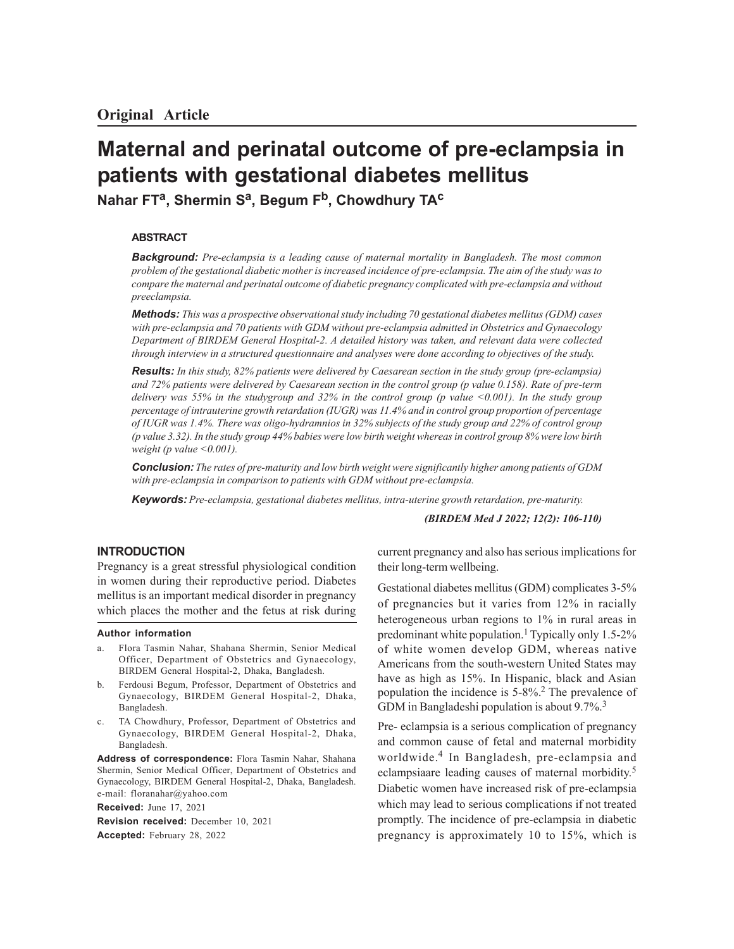# **Maternal and perinatal outcome of pre-eclampsia in patients with gestational diabetes mellitus**

**Nahar FT<sup>a</sup> , Shermin S<sup>a</sup> , Begum Fb, Chowdhury TA<sup>c</sup>**

## **ABSTRACT**

*Background: Pre-eclampsia is a leading cause of maternal mortality in Bangladesh. The most common problem of the gestational diabetic mother is increased incidence of pre-eclampsia. The aim of the study was to compare the maternal and perinatal outcome of diabetic pregnancy complicated with pre-eclampsia and without preeclampsia.*

*Methods: This was a prospective observational study including 70 gestational diabetes mellitus (GDM) cases with pre-eclampsia and 70 patients with GDM without pre-eclampsia admitted in Obstetrics and Gynaecology Department of BIRDEM General Hospital-2. A detailed history was taken, and relevant data were collected through interview in a structured questionnaire and analyses were done according to objectives of the study.*

*Results: In this study, 82% patients were delivered by Caesarean section in the study group (pre-eclampsia) and 72% patients were delivered by Caesarean section in the control group (p value 0.158). Rate of pre-term delivery was 55% in the studygroup and 32% in the control group (p value <0.001). In the study group percentage of intrauterine growth retardation (IUGR) was 11.4% and in control group proportion of percentage of IUGR was 1.4%. There was oligo-hydramnios in 32% subjects of the study group and 22% of control group (p value 3.32). In the study group 44% babies were low birth weight whereas in control group 8% were low birth weight (p value <0.001).*

*Conclusion: The rates of pre-maturity and low birth weight were significantly higher among patients of GDM with pre-eclampsia in comparison to patients with GDM without pre-eclampsia.*

*Keywords: Pre-eclampsia, gestational diabetes mellitus, intra-uterine growth retardation, pre-maturity.*

*(BIRDEM Med J 2022; 12(2): 106-110)*

## **INTRODUCTION**

Pregnancy is a great stressful physiological condition in women during their reproductive period. Diabetes mellitus is an important medical disorder in pregnancy which places the mother and the fetus at risk during

#### **Author information**

- a. Flora Tasmin Nahar, Shahana Shermin, Senior Medical Officer, Department of Obstetrics and Gynaecology, BIRDEM General Hospital-2, Dhaka, Bangladesh.
- b. Ferdousi Begum, Professor, Department of Obstetrics and Gynaecology, BIRDEM General Hospital-2, Dhaka, Bangladesh.
- c. TA Chowdhury, Professor, Department of Obstetrics and Gynaecology, BIRDEM General Hospital-2, Dhaka, Bangladesh.

**Address of correspondence:** Flora Tasmin Nahar, Shahana Shermin, Senior Medical Officer, Department of Obstetrics and Gynaecology, BIRDEM General Hospital-2, Dhaka, Bangladesh. e-mail: floranahar@yahoo.com

**Received:** June 17, 2021 **Revision received:** December 10, 2021 **Accepted:** February 28, 2022

current pregnancy and also has serious implications for their long-term wellbeing.

Gestational diabetes mellitus (GDM) complicates 3-5% of pregnancies but it varies from 12% in racially heterogeneous urban regions to 1% in rural areas in predominant white population.<sup>1</sup> Typically only 1.5-2% of white women develop GDM, whereas native Americans from the south-western United States may have as high as 15%. In Hispanic, black and Asian population the incidence is 5-8%.2 The prevalence of GDM in Bangladeshi population is about 9.7%.<sup>3</sup>

Pre- eclampsia is a serious complication of pregnancy and common cause of fetal and maternal morbidity worldwide.<sup>4</sup> In Bangladesh, pre-eclampsia and eclampsiaare leading causes of maternal morbidity.<sup>5</sup> Diabetic women have increased risk of pre-eclampsia which may lead to serious complications if not treated promptly. The incidence of pre-eclampsia in diabetic pregnancy is approximately 10 to 15%, which is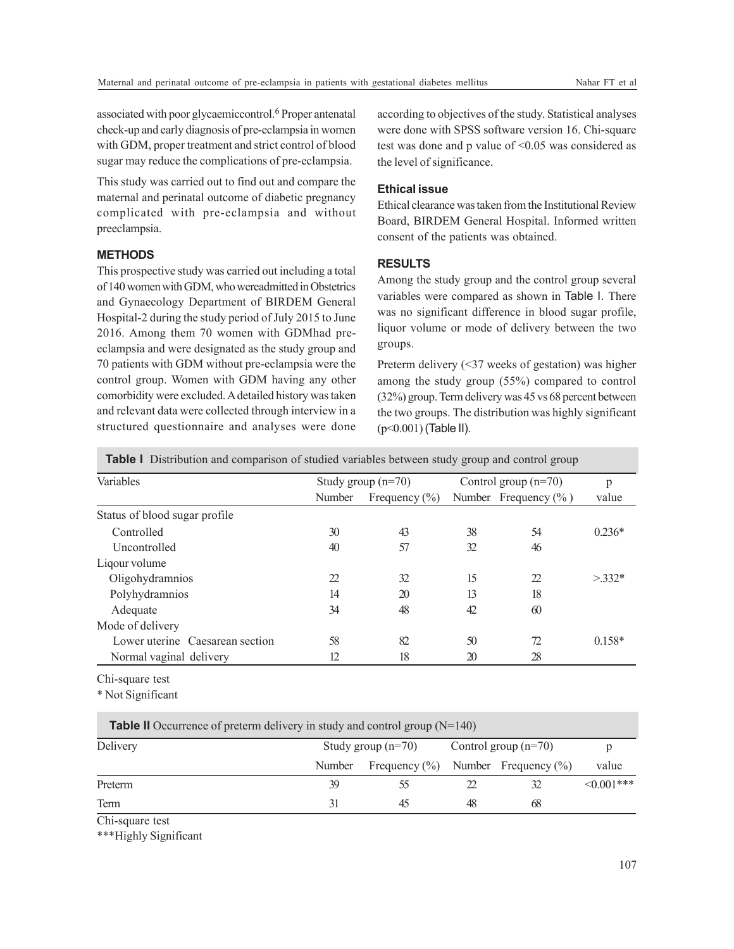associated with poor glycaemiccontrol.<sup>6</sup> Proper antenatal check-up and early diagnosis of pre-eclampsia in women with GDM, proper treatment and strict control of blood sugar may reduce the complications of pre-eclampsia.

This study was carried out to find out and compare the maternal and perinatal outcome of diabetic pregnancy complicated with pre-eclampsia and without preeclampsia.

# **METHODS**

This prospective study was carried out including a total of 140 women with GDM, who wereadmitted in Obstetrics and Gynaecology Department of BIRDEM General Hospital-2 during the study period of July 2015 to June 2016. Among them 70 women with GDMhad preeclampsia and were designated as the study group and 70 patients with GDM without pre-eclampsia were the control group. Women with GDM having any other comorbidity were excluded. A detailed history was taken and relevant data were collected through interview in a structured questionnaire and analyses were done

according to objectives of the study. Statistical analyses were done with SPSS software version 16. Chi-square test was done and p value of <0.05 was considered as the level of significance.

# **Ethical issue**

Ethical clearance was taken from the Institutional Review Board, BIRDEM General Hospital. Informed written consent of the patients was obtained.

# **RESULTS**

Among the study group and the control group several variables were compared as shown in Table I. There was no significant difference in blood sugar profile, liquor volume or mode of delivery between the two groups.

Preterm delivery (<37 weeks of gestation) was higher among the study group (55%) compared to control (32%) group. Term delivery was 45 vs 68 percent between the two groups. The distribution was highly significant (p<0.001) (Table II).

**Table I** Distribution and comparison of studied variables between study group and control group

| Variables                       | Study group $(n=70)$ |                   | Control group $(n=70)$ |                          | p        |
|---------------------------------|----------------------|-------------------|------------------------|--------------------------|----------|
|                                 | Number               | Frequency $(\% )$ |                        | Number Frequency $(\% )$ | value    |
| Status of blood sugar profile   |                      |                   |                        |                          |          |
| Controlled                      | 30                   | 43                | 38                     | 54                       | $0.236*$ |
| Uncontrolled                    | 40                   | 57                | 32                     | 46                       |          |
| Liqour volume                   |                      |                   |                        |                          |          |
| Oligohydramnios                 | 22                   | 32                | 15                     | 22                       | $>332*$  |
| Polyhydramnios                  | 14                   | 20                | 13                     | 18                       |          |
| Adequate                        | 34                   | 48                | 42                     | 60                       |          |
| Mode of delivery                |                      |                   |                        |                          |          |
| Lower uterine Caesarean section | 58                   | 82                | 50                     | 72.                      | $0.158*$ |
| Normal vaginal delivery         | 12                   | 18                | 20                     | 28                       |          |

Chi-square test

\* Not Significant

| Delivery |        | Study group $(n=70)$                     |    | Control group $(n=70)$ |                  |
|----------|--------|------------------------------------------|----|------------------------|------------------|
|          | Number | Frequency $(\%)$ Number Frequency $(\%)$ |    |                        | value            |
| Preterm  |        |                                          |    |                        | $\leq 0.001$ *** |
| Term     |        | 45                                       | 48 | 68                     |                  |
| ----     |        |                                          |    |                        |                  |

Chi-square test

\*\*\*Highly Significant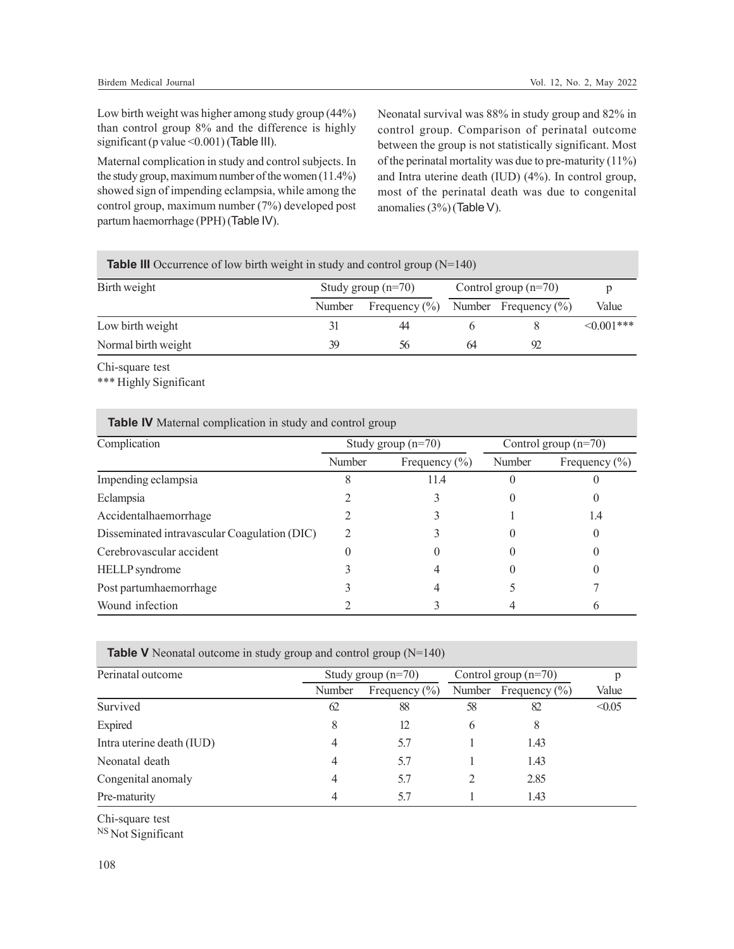Low birth weight was higher among study group (44%) than control group 8% and the difference is highly significant (p value < 0.001) (Table III).

Maternal complication in study and control subjects. In the study group, maximum number of the women (11.4%) showed sign of impending eclampsia, while among the control group, maximum number (7%) developed post partum haemorrhage (PPH) (Table IV).

Neonatal survival was 88% in study group and 82% in control group. Comparison of perinatal outcome between the group is not statistically significant. Most of the perinatal mortality was due to pre-maturity (11%) and Intra uterine death (IUD) (4%). In control group, most of the perinatal death was due to congenital anomalies (3%) (Table V).

| <b>Table III</b> Occurrence of low birth weight in study and control group $(N=140)$ |        |                      |                        |                          |                  |  |  |
|--------------------------------------------------------------------------------------|--------|----------------------|------------------------|--------------------------|------------------|--|--|
| Birth weight                                                                         |        | Study group $(n=70)$ | Control group $(n=70)$ |                          |                  |  |  |
|                                                                                      | Number | Frequency $(\% )$    |                        | Number Frequency $(\% )$ | Value            |  |  |
| Low birth weight                                                                     |        | 44                   |                        |                          | $\leq 0.001$ *** |  |  |
| Normal birth weight                                                                  | 39     | 56                   | 64                     | 92                       |                  |  |  |

Chi-square test

\*\*\* Highly Significant

| Complication                                 | Study group $(n=70)$ |                   | Control group $(n=70)$ |                   |
|----------------------------------------------|----------------------|-------------------|------------------------|-------------------|
|                                              | Number               | Frequency $(\% )$ | Number                 | Frequency $(\% )$ |
| Impending eclampsia                          |                      | 11.4              |                        |                   |
| Eclampsia                                    |                      |                   |                        |                   |
| Accidentalhaemorrhage                        |                      |                   |                        | 1.4               |
| Disseminated intravascular Coagulation (DIC) |                      |                   |                        |                   |
| Cerebrovascular accident                     |                      |                   |                        |                   |
| HELLP syndrome                               |                      |                   |                        |                   |
| Post partumhaemorrhage                       |                      |                   |                        |                   |
| Wound infection                              |                      |                   |                        |                   |

**Table IV** Maternal complication in study and control group

| <b>Table V</b> Neonatal outcome in study group and control group $(N=140)$ |  |  |
|----------------------------------------------------------------------------|--|--|
|----------------------------------------------------------------------------|--|--|

| Perinatal outcome         |        | Study group $(n=70)$ |    | Control group $(n=70)$   |        |
|---------------------------|--------|----------------------|----|--------------------------|--------|
|                           | Number | Frequency $(\% )$    |    | Number Frequency $(\% )$ | Value  |
| Survived                  | 62     | 88                   | 58 | 82                       | < 0.05 |
| Expired                   | 8      | 12                   | 6  | 8                        |        |
| Intra uterine death (IUD) | 4      | 5.7                  |    | 1.43                     |        |
| Neonatal death            | 4      | 5.7                  |    | 1.43                     |        |
| Congenital anomaly        | 4      | 5.7                  |    | 2.85                     |        |
| Pre-maturity              |        | 5.7                  |    | 1.43                     |        |

Chi-square test

NS Not Significant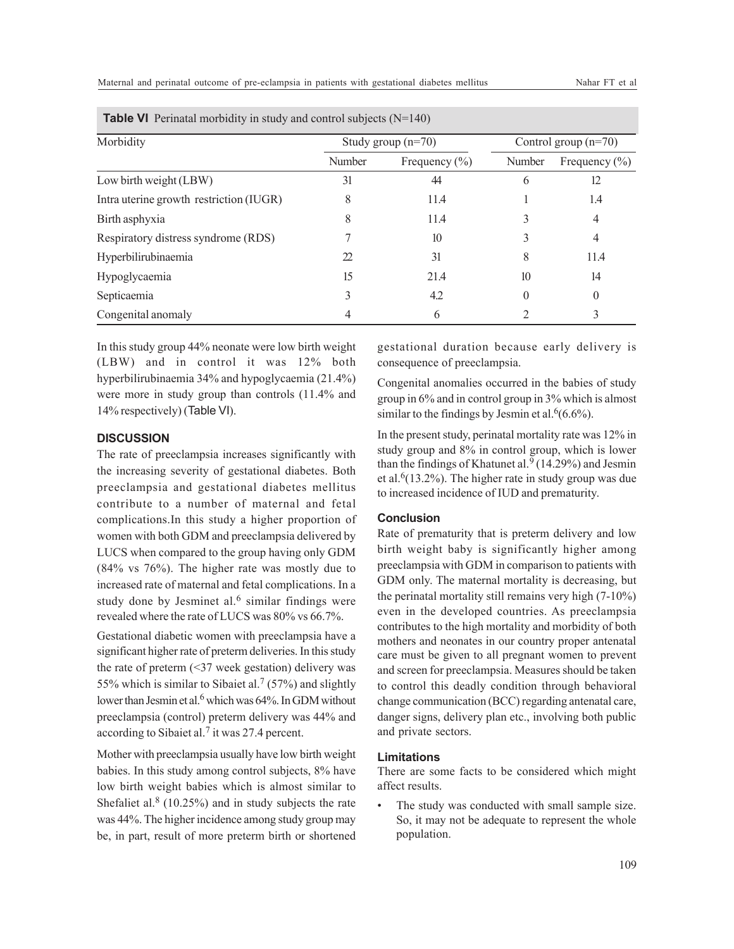| Morbidity                               | Study group $(n=70)$ |                   | Control group $(n=70)$ |                   |
|-----------------------------------------|----------------------|-------------------|------------------------|-------------------|
|                                         | Number               | Frequency $(\% )$ | Number                 | Frequency $(\% )$ |
| Low birth weight (LBW)                  | 31                   | 44                |                        | 12                |
| Intra uterine growth restriction (IUGR) | 8                    | 11.4              |                        | 1.4               |
| Birth asphyxia                          | 8                    | 11.4              |                        | 4                 |
| Respiratory distress syndrome (RDS)     |                      | 10                |                        | 4                 |
| Hyperbilirubinaemia                     | 22                   | 31                | 8                      | 11.4              |
| Hypoglycaemia                           | 15                   | 21.4              | 10                     | 14                |
| Septicaemia                             |                      | 4.2               | 0                      | $\theta$          |
| Congenital anomaly                      |                      | 6                 |                        |                   |

**Table VI** Perinatal morbidity in study and control subjects (N=140)

In this study group 44% neonate were low birth weight (LBW) and in control it was 12% both hyperbilirubinaemia 34% and hypoglycaemia (21.4%) were more in study group than controls (11.4% and 14% respectively) (Table VI).

## **DISCUSSION**

The rate of preeclampsia increases significantly with the increasing severity of gestational diabetes. Both preeclampsia and gestational diabetes mellitus contribute to a number of maternal and fetal complications.In this study a higher proportion of women with both GDM and preeclampsia delivered by LUCS when compared to the group having only GDM (84% vs 76%). The higher rate was mostly due to increased rate of maternal and fetal complications. In a study done by Jesminet al.<sup>6</sup> similar findings were revealed where the rate of LUCS was 80% vs 66.7%.

Gestational diabetic women with preeclampsia have a significant higher rate of preterm deliveries. In this study the rate of preterm (<37 week gestation) delivery was 55% which is similar to Sibaiet al.<sup>7</sup> (57%) and slightly lower than Jesmin et al.<sup>6</sup> which was 64%. In GDM without preeclampsia (control) preterm delivery was 44% and according to Sibaiet al.<sup>7</sup> it was 27.4 percent.

Mother with preeclampsia usually have low birth weight babies. In this study among control subjects, 8% have low birth weight babies which is almost similar to Shefaliet al.<sup>8</sup> (10.25%) and in study subjects the rate was 44%. The higher incidence among study group may be, in part, result of more preterm birth or shortened

gestational duration because early delivery is consequence of preeclampsia.

Congenital anomalies occurred in the babies of study group in 6% and in control group in 3% which is almost similar to the findings by Jesmin et al.  $6(6.6\%)$ .

In the present study, perinatal mortality rate was 12% in study group and 8% in control group, which is lower than the findings of Khatunet al. $9(14.29%)$  and Jesmin et al. $6(13.2\%)$ . The higher rate in study group was due to increased incidence of IUD and prematurity.

## **Conclusion**

Rate of prematurity that is preterm delivery and low birth weight baby is significantly higher among preeclampsia with GDM in comparison to patients with GDM only. The maternal mortality is decreasing, but the perinatal mortality still remains very high (7-10%) even in the developed countries. As preeclampsia contributes to the high mortality and morbidity of both mothers and neonates in our country proper antenatal care must be given to all pregnant women to prevent and screen for preeclampsia. Measures should be taken to control this deadly condition through behavioral change communication (BCC) regarding antenatal care, danger signs, delivery plan etc., involving both public and private sectors.

#### **Limitations**

There are some facts to be considered which might affect results.

• The study was conducted with small sample size. So, it may not be adequate to represent the whole population.